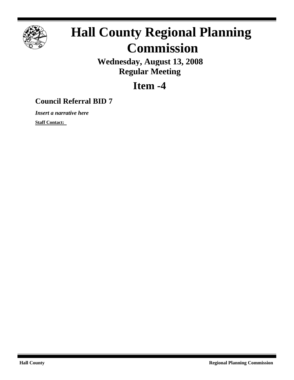

# **Hall County Regional Planning Commission**

**Wednesday, August 13, 2008 Regular Meeting**

## **Item -4**

### **Council Referral BID 7**

*Insert a narrative here*

**Staff Contact:**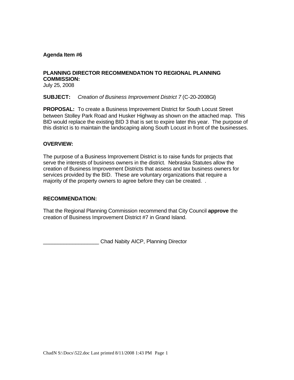#### **Agenda Item #6**

#### **PLANNING DIRECTOR RECOMMENDATION TO REGIONAL PLANNING COMMISSION:**

July 25, 2008

**SUBJECT:** *Creation of Business Improvement District 7* (C-20-2008GI)

**PROPOSAL:** To create a Business Improvement District for South Locust Street between Stolley Park Road and Husker Highway as shown on the attached map. This BID would replace the existing BID 3 that is set to expire later this year. The purpose of this district is to maintain the landscaping along South Locust in front of the businesses.

#### **OVERVIEW:**

The purpose of a Business Improvement District is to raise funds for projects that serve the interests of business owners in the district. Nebraska Statutes allow the creation of Business Improvement Districts that assess and tax business owners for services provided by the BID. These are voluntary organizations that require a majority of the property owners to agree before they can be created. .

#### **RECOMMENDATION:**

That the Regional Planning Commission recommend that City Council **approve** the creation of Business Improvement District #7 in Grand Island.

\_\_\_\_\_\_\_\_\_\_\_\_\_\_\_\_\_\_\_ Chad Nabity AICP, Planning Director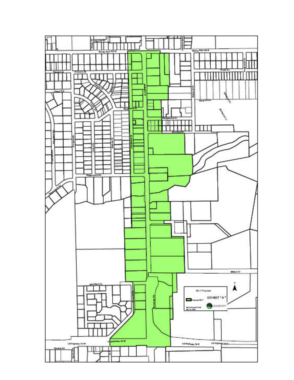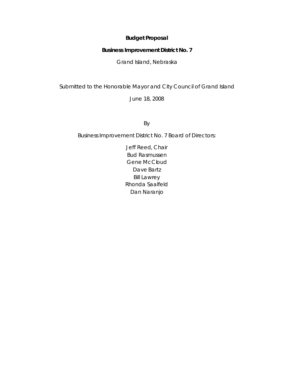#### **Budget Proposal**

#### **Business Improvement District No. 7**

Grand Island, Nebraska

Submitted to the Honorable Mayor and City Council of Grand Island

June 18, 2008

By

Business Improvement District No. 7 Board of Directors:

Jeff Reed, Chair Bud Rasmussen Gene McCloud Dave Bartz Bill Lawrey Rhonda Saalfeld Dan Naranjo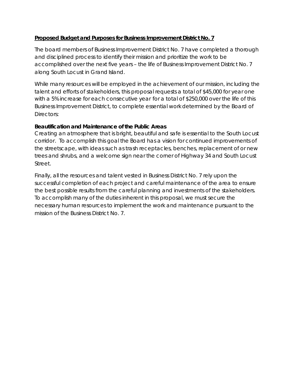#### **Proposed Budget and Purposes for Business Improvement District No. 7**

The board members of Business Improvement District No. 7 have completed a thorough and disciplined process to identify their mission and prioritize the work to be accomplished over the next five years – the life of Business Improvement District No. 7 along South Locust in Grand Island.

While many resources will be employed in the achievement of our mission, including the talent and efforts of stakeholders, this proposal requests a total of \$45,000 for year one with a 5% increase for each consecutive year for a total of \$250,000 over the life of this Business Improvement District, to complete essential work determined by the Board of Directors:

#### *Beautification and Maintenance of the Public Areas*

Creating an atmosphere that is bright, beautiful and safe is essential to the South Locust corridor. To accomplish this goal the Board has a vision for continued improvements of the streetscape, with ideas such as trash receptacles, benches, replacement of or new trees and shrubs, and a welcome sign near the corner of Highway 34 and South Locust Street.

Finally, all the resources and talent vested in Business District No. 7 rely upon the successful completion of each project and careful maintenance of the area to ensure the best possible results from the careful planning and investments of the stakeholders. To accomplish many of the duties inherent in this proposal, we must secure the necessary human resources to implement the work and maintenance pursuant to the mission of the Business District No. 7.